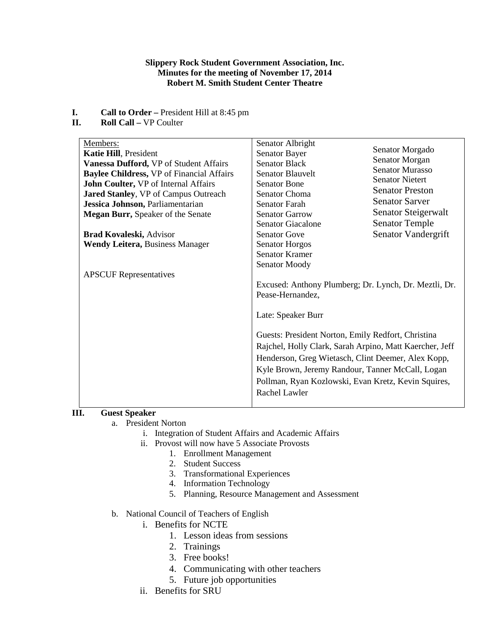## **Slippery Rock Student Government Association, Inc. Minutes for the meeting of November 17, 2014 Robert M. Smith Student Center Theatre**

- **I. Call to Order** President Hill at 8:45 pm<br>**II. Roll Call** VP Coulter
- **Roll Call –** VP Coulter

| Members:                                         | Senator Albright                                        |                        |  |
|--------------------------------------------------|---------------------------------------------------------|------------------------|--|
| Katie Hill, President                            | Senator Bayer                                           | Senator Morgado        |  |
| Vanessa Dufford, VP of Student Affairs           | <b>Senator Black</b>                                    | Senator Morgan         |  |
| <b>Baylee Childress, VP of Financial Affairs</b> | <b>Senator Blauvelt</b>                                 | <b>Senator Murasso</b> |  |
| John Coulter, VP of Internal Affairs             | <b>Senator Bone</b>                                     | <b>Senator Nietert</b> |  |
| Jared Stanley, VP of Campus Outreach             | Senator Choma                                           | <b>Senator Preston</b> |  |
| Jessica Johnson, Parliamentarian                 | Senator Farah                                           | <b>Senator Sarver</b>  |  |
| <b>Megan Burr, Speaker of the Senate</b>         | <b>Senator Garrow</b>                                   | Senator Steigerwalt    |  |
|                                                  | <b>Senator Giacalone</b>                                | <b>Senator Temple</b>  |  |
| <b>Brad Kovaleski, Advisor</b>                   | <b>Senator Gove</b>                                     | Senator Vandergrift    |  |
| <b>Wendy Leitera, Business Manager</b>           | <b>Senator Horgos</b>                                   |                        |  |
|                                                  | <b>Senator Kramer</b>                                   |                        |  |
|                                                  | Senator Moody                                           |                        |  |
| <b>APSCUF</b> Representatives                    |                                                         |                        |  |
|                                                  | Excused: Anthony Plumberg; Dr. Lynch, Dr. Meztli, Dr.   |                        |  |
|                                                  | Pease-Hernandez,                                        |                        |  |
|                                                  |                                                         |                        |  |
|                                                  | Late: Speaker Burr                                      |                        |  |
|                                                  |                                                         |                        |  |
|                                                  | Guests: President Norton, Emily Redfort, Christina      |                        |  |
|                                                  | Rajchel, Holly Clark, Sarah Arpino, Matt Kaercher, Jeff |                        |  |
|                                                  |                                                         |                        |  |
|                                                  | Henderson, Greg Wietasch, Clint Deemer, Alex Kopp,      |                        |  |
|                                                  | Kyle Brown, Jeremy Randour, Tanner McCall, Logan        |                        |  |
|                                                  | Pollman, Ryan Kozlowski, Evan Kretz, Kevin Squires,     |                        |  |
|                                                  | Rachel Lawler                                           |                        |  |
|                                                  |                                                         |                        |  |

# **III. Guest Speaker**

- a. President Norton
	- i. Integration of Student Affairs and Academic Affairs
		- ii. Provost will now have 5 Associate Provosts
			- 1. Enrollment Management
			- 2. Student Success
			- 3. Transformational Experiences
			- 4. Information Technology
			- 5. Planning, Resource Management and Assessment
- b. National Council of Teachers of English

# i. Benefits for NCTE

- 1. Lesson ideas from sessions
- 2. Trainings
- 3. Free books!
- 4. Communicating with other teachers
- 5. Future job opportunities
- ii. Benefits for SRU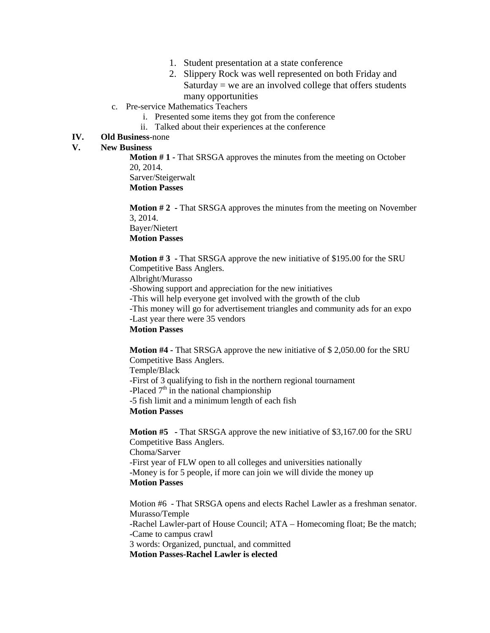- 1. Student presentation at a state conference
- 2. Slippery Rock was well represented on both Friday and  $Saturday = we$  are an involved college that offers students many opportunities
- c. Pre-service Mathematics Teachers
	- i. Presented some items they got from the conference
	- ii. Talked about their experiences at the conference

## **IV. Old Business**-none

## **V. New Business**

**Motion # 1 -** That SRSGA approves the minutes from the meeting on October 20, 2014. Sarver/Steigerwalt **Motion Passes**

**Motion # 2 -** That SRSGA approves the minutes from the meeting on November 3, 2014. Bayer/Nietert **Motion Passes**

**Motion # 3 -** That SRSGA approve the new initiative of \$195.00 for the SRU Competitive Bass Anglers. Albright/Murasso -Showing support and appreciation for the new initiatives -This will help everyone get involved with the growth of the club -This money will go for advertisement triangles and community ads for an expo -Last year there were 35 vendors

# **Motion Passes**

**Motion #4 -** That SRSGA approve the new initiative of \$ 2,050.00 for the SRU Competitive Bass Anglers. Temple/Black -First of 3 qualifying to fish in the northern regional tournament -Placed  $7<sup>th</sup>$  in the national championship -5 fish limit and a minimum length of each fish **Motion Passes**

**Motion #5 -** That SRSGA approve the new initiative of \$3,167.00 for the SRU Competitive Bass Anglers. Choma/Sarver -First year of FLW open to all colleges and universities nationally -Money is for 5 people, if more can join we will divide the money up **Motion Passes**

Motion #6 - That SRSGA opens and elects Rachel Lawler as a freshman senator. Murasso/Temple -Rachel Lawler-part of House Council; ATA – Homecoming float; Be the match; -Came to campus crawl 3 words: Organized, punctual, and committed **Motion Passes-Rachel Lawler is elected**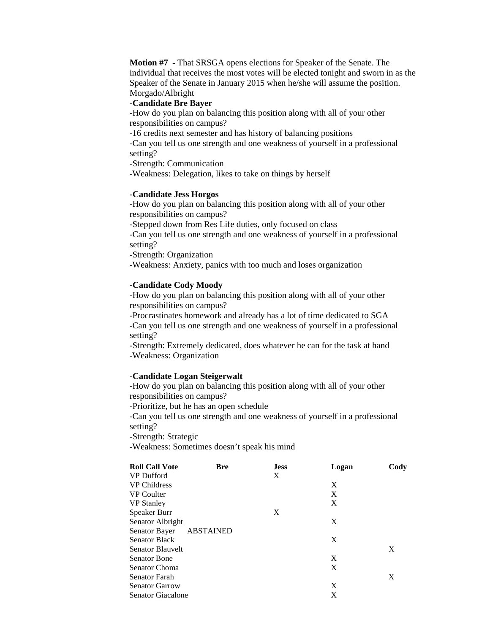**Motion #7 -** That SRSGA opens elections for Speaker of the Senate. The individual that receives the most votes will be elected tonight and sworn in as the Speaker of the Senate in January 2015 when he/she will assume the position. Morgado/Albright

### **-Candidate Bre Bayer**

-How do you plan on balancing this position along with all of your other responsibilities on campus?

-16 credits next semester and has history of balancing positions

-Can you tell us one strength and one weakness of yourself in a professional setting?

-Strength: Communication

-Weakness: Delegation, likes to take on things by herself

#### **-Candidate Jess Horgos**

-How do you plan on balancing this position along with all of your other responsibilities on campus?

-Stepped down from Res Life duties, only focused on class

-Can you tell us one strength and one weakness of yourself in a professional setting?

-Strength: Organization

-Weakness: Anxiety, panics with too much and loses organization

#### **-Candidate Cody Moody**

-How do you plan on balancing this position along with all of your other responsibilities on campus?

-Procrastinates homework and already has a lot of time dedicated to SGA

-Can you tell us one strength and one weakness of yourself in a professional setting?

-Strength: Extremely dedicated, does whatever he can for the task at hand -Weakness: Organization

#### **-Candidate Logan Steigerwalt**

-How do you plan on balancing this position along with all of your other responsibilities on campus?

-Prioritize, but he has an open schedule

-Can you tell us one strength and one weakness of yourself in a professional setting?

-Strength: Strategic

-Weakness: Sometimes doesn't speak his mind

| <b>Roll Call Vote</b> | <b>Bre</b>       | <b>Jess</b> | Logan | Cody |
|-----------------------|------------------|-------------|-------|------|
| <b>VP</b> Dufford     |                  | X           |       |      |
| <b>VP Childress</b>   |                  |             | X     |      |
| <b>VP</b> Coulter     |                  |             | X     |      |
| <b>VP</b> Stanley     |                  |             | X     |      |
| Speaker Burr          |                  | X           |       |      |
| Senator Albright      |                  |             | X     |      |
| Senator Bayer         | <b>ABSTAINED</b> |             |       |      |
| <b>Senator Black</b>  |                  |             | X     |      |
| Senator Blauvelt      |                  |             |       | X    |
| <b>Senator Bone</b>   |                  |             | X     |      |
| <b>Senator Choma</b>  |                  |             | X     |      |
| <b>Senator Farah</b>  |                  |             |       | X    |
| <b>Senator Garrow</b> |                  |             | X     |      |
| Senator Giacalone     |                  |             | X     |      |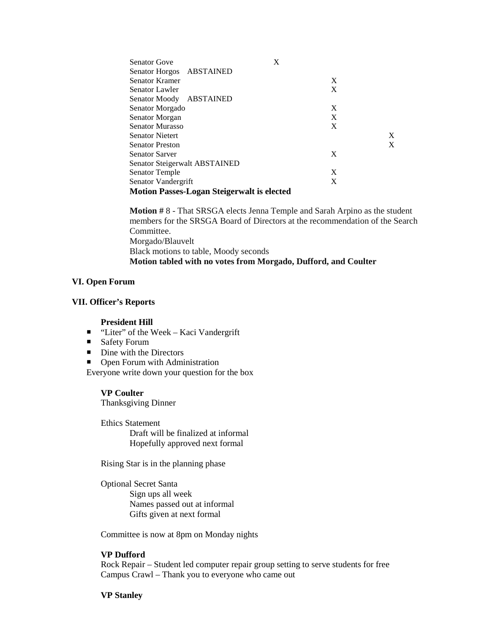| <b>Senator Gove</b>                               | X |   |
|---------------------------------------------------|---|---|
| Senator Horgos ABSTAINED                          |   |   |
| <b>Senator Kramer</b>                             | X |   |
| Senator Lawler                                    | X |   |
| Senator Moody ABSTAINED                           |   |   |
| Senator Morgado                                   | X |   |
| Senator Morgan                                    | X |   |
| <b>Senator Murasso</b>                            | X |   |
| <b>Senator Nietert</b>                            |   | X |
| <b>Senator Preston</b>                            |   | X |
| <b>Senator Sarver</b>                             | X |   |
| Senator Steigerwalt ABSTAINED                     |   |   |
| Senator Temple                                    | X |   |
| Senator Vandergrift                               | X |   |
| <b>Motion Passes-Logan Steigerwalt is elected</b> |   |   |

**Motion #** 8 - That SRSGA elects Jenna Temple and Sarah Arpino as the student members for the SRSGA Board of Directors at the recommendation of the Search Committee. Morgado/Blauvelt Black motions to table, Moody seconds **Motion tabled with no votes from Morgado, Dufford, and Coulter**

### **VI. Open Forum**

#### **VII. Officer's Reports**

#### **President Hill**

- "Liter" of the Week Kaci Vandergrift
- Safety Forum
- $\blacksquare$  Dine with the Directors
- Open Forum with Administration

Everyone write down your question for the box

### **VP Coulter**

Thanksgiving Dinner

Ethics Statement Draft will be finalized at informal Hopefully approved next formal

Rising Star is in the planning phase

Optional Secret Santa Sign ups all week Names passed out at informal Gifts given at next formal

Committee is now at 8pm on Monday nights

## **VP Dufford**

Rock Repair – Student led computer repair group setting to serve students for free Campus Crawl – Thank you to everyone who came out

#### **VP Stanley**